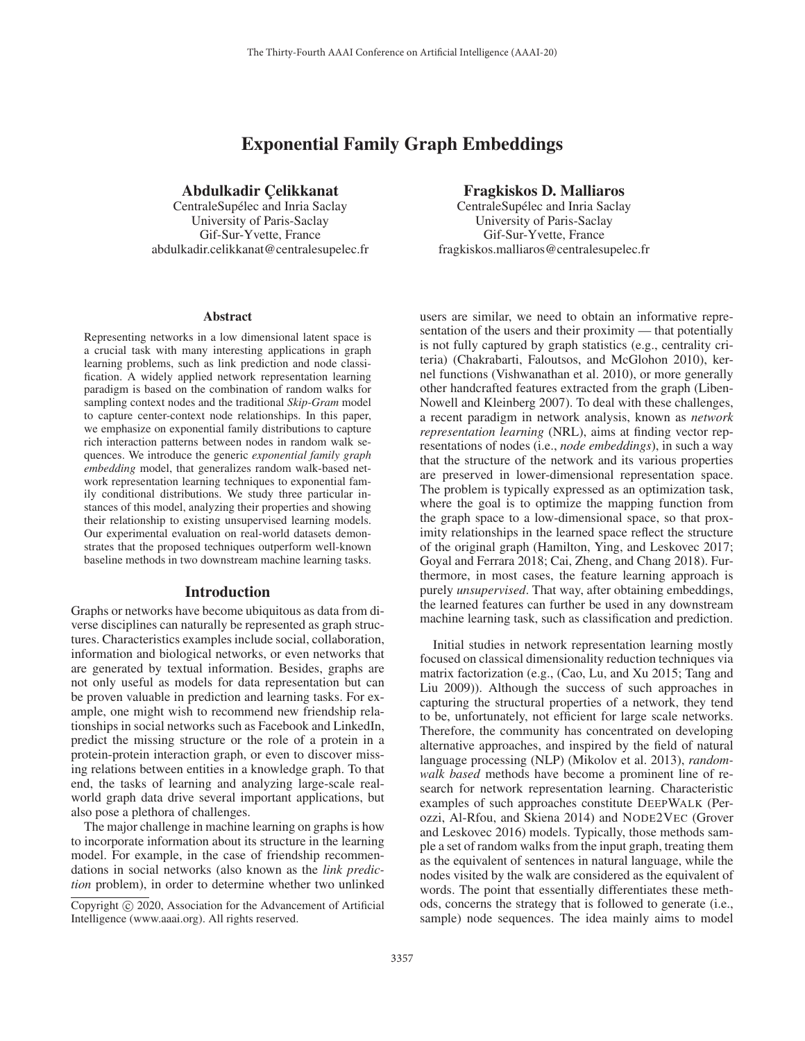# Exponential Family Graph Embeddings

# Abdulkadir Celikkanat

CentraleSupélec and Inria Saclay University of Paris-Saclay Gif-Sur-Yvette, France abdulkadir.celikkanat@centralesupelec.fr

#### Abstract

Representing networks in a low dimensional latent space is a crucial task with many interesting applications in graph learning problems, such as link prediction and node classification. A widely applied network representation learning paradigm is based on the combination of random walks for sampling context nodes and the traditional *Skip-Gram* model to capture center-context node relationships. In this paper, we emphasize on exponential family distributions to capture rich interaction patterns between nodes in random walk sequences. We introduce the generic *exponential family graph embedding* model, that generalizes random walk-based network representation learning techniques to exponential family conditional distributions. We study three particular instances of this model, analyzing their properties and showing their relationship to existing unsupervised learning models. Our experimental evaluation on real-world datasets demonstrates that the proposed techniques outperform well-known baseline methods in two downstream machine learning tasks.

## Introduction

Graphs or networks have become ubiquitous as data from diverse disciplines can naturally be represented as graph structures. Characteristics examples include social, collaboration, information and biological networks, or even networks that are generated by textual information. Besides, graphs are not only useful as models for data representation but can be proven valuable in prediction and learning tasks. For example, one might wish to recommend new friendship relationships in social networks such as Facebook and LinkedIn, predict the missing structure or the role of a protein in a protein-protein interaction graph, or even to discover missing relations between entities in a knowledge graph. To that end, the tasks of learning and analyzing large-scale realworld graph data drive several important applications, but also pose a plethora of challenges.

The major challenge in machine learning on graphs is how to incorporate information about its structure in the learning model. For example, in the case of friendship recommendations in social networks (also known as the *link prediction* problem), in order to determine whether two unlinked

## Fragkiskos D. Malliaros

CentraleSupélec and Inria Saclay University of Paris-Saclay Gif-Sur-Yvette, France fragkiskos.malliaros@centralesupelec.fr

users are similar, we need to obtain an informative representation of the users and their proximity — that potentially is not fully captured by graph statistics (e.g., centrality criteria) (Chakrabarti, Faloutsos, and McGlohon 2010), kernel functions (Vishwanathan et al. 2010), or more generally other handcrafted features extracted from the graph (Liben-Nowell and Kleinberg 2007). To deal with these challenges, a recent paradigm in network analysis, known as *network representation learning* (NRL), aims at finding vector representations of nodes (i.e., *node embeddings*), in such a way that the structure of the network and its various properties are preserved in lower-dimensional representation space. The problem is typically expressed as an optimization task, where the goal is to optimize the mapping function from the graph space to a low-dimensional space, so that proximity relationships in the learned space reflect the structure of the original graph (Hamilton, Ying, and Leskovec 2017; Goyal and Ferrara 2018; Cai, Zheng, and Chang 2018). Furthermore, in most cases, the feature learning approach is purely *unsupervised*. That way, after obtaining embeddings, the learned features can further be used in any downstream machine learning task, such as classification and prediction.

Initial studies in network representation learning mostly focused on classical dimensionality reduction techniques via matrix factorization (e.g., (Cao, Lu, and Xu 2015; Tang and Liu 2009)). Although the success of such approaches in capturing the structural properties of a network, they tend to be, unfortunately, not efficient for large scale networks. Therefore, the community has concentrated on developing alternative approaches, and inspired by the field of natural language processing (NLP) (Mikolov et al. 2013), *randomwalk based* methods have become a prominent line of research for network representation learning. Characteristic examples of such approaches constitute DEEPWALK (Perozzi, Al-Rfou, and Skiena 2014) and NODE2VEC (Grover and Leskovec 2016) models. Typically, those methods sample a set of random walks from the input graph, treating them as the equivalent of sentences in natural language, while the nodes visited by the walk are considered as the equivalent of words. The point that essentially differentiates these methods, concerns the strategy that is followed to generate (i.e., sample) node sequences. The idea mainly aims to model

Copyright  $\odot$  2020, Association for the Advancement of Artificial Intelligence (www.aaai.org). All rights reserved.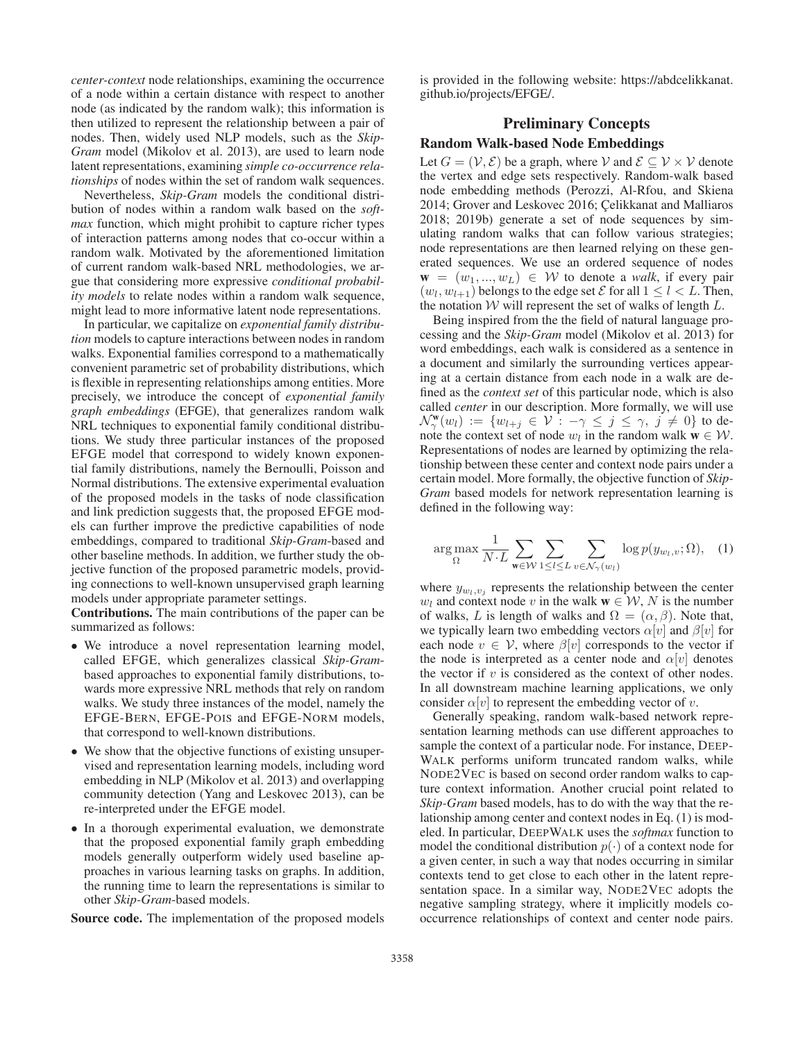*center-context* node relationships, examining the occurrence of a node within a certain distance with respect to another node (as indicated by the random walk); this information is then utilized to represent the relationship between a pair of nodes. Then, widely used NLP models, such as the *Skip-Gram* model (Mikolov et al. 2013), are used to learn node latent representations, examining *simple co-occurrence relationships* of nodes within the set of random walk sequences.

Nevertheless, *Skip-Gram* models the conditional distribution of nodes within a random walk based on the *softmax* function, which might prohibit to capture richer types of interaction patterns among nodes that co-occur within a random walk. Motivated by the aforementioned limitation of current random walk-based NRL methodologies, we argue that considering more expressive *conditional probability models* to relate nodes within a random walk sequence, might lead to more informative latent node representations.

In particular, we capitalize on *exponential family distribution* models to capture interactions between nodes in random walks. Exponential families correspond to a mathematically convenient parametric set of probability distributions, which is flexible in representing relationships among entities. More precisely, we introduce the concept of *exponential family graph embeddings* (EFGE), that generalizes random walk NRL techniques to exponential family conditional distributions. We study three particular instances of the proposed EFGE model that correspond to widely known exponential family distributions, namely the Bernoulli, Poisson and Normal distributions. The extensive experimental evaluation of the proposed models in the tasks of node classification and link prediction suggests that, the proposed EFGE models can further improve the predictive capabilities of node embeddings, compared to traditional *Skip-Gram*-based and other baseline methods. In addition, we further study the objective function of the proposed parametric models, providing connections to well-known unsupervised graph learning models under appropriate parameter settings.

Contributions. The main contributions of the paper can be summarized as follows:

- We introduce a novel representation learning model, called EFGE, which generalizes classical *Skip-Gram*based approaches to exponential family distributions, towards more expressive NRL methods that rely on random walks. We study three instances of the model, namely the EFGE-BERN, EFGE-POIS and EFGE-NORM models, that correspond to well-known distributions.
- We show that the objective functions of existing unsupervised and representation learning models, including word embedding in NLP (Mikolov et al. 2013) and overlapping community detection (Yang and Leskovec 2013), can be re-interpreted under the EFGE model.
- In a thorough experimental evaluation, we demonstrate that the proposed exponential family graph embedding models generally outperform widely used baseline approaches in various learning tasks on graphs. In addition, the running time to learn the representations is similar to other *Skip-Gram*-based models.

Source code. The implementation of the proposed models

is provided in the following website: https://abdcelikkanat. github.io/projects/EFGE/.

# Preliminary Concepts

# Random Walk-based Node Embeddings

Let  $G = (\mathcal{V}, \mathcal{E})$  be a graph, where  $\mathcal{V}$  and  $\mathcal{E} \subseteq \mathcal{V} \times \mathcal{V}$  denote the vertex and edge sets respectively. Random-walk based node embedding methods (Perozzi, Al-Rfou, and Skiena 2014; Grover and Leskovec 2016; Celikkanat and Malliaros 2018; 2019b) generate a set of node sequences by simulating random walks that can follow various strategies; node representations are then learned relying on these generated sequences. We use an ordered sequence of nodes  $\mathbf{w} = (w_1, ..., w_L) \in \mathcal{W}$  to denote a *walk*, if every pair  $(w_l, w_{l+1})$  belongs to the edge set  $\mathcal E$  for all  $1 \leq l \leq L$ . Then, the notation  $W$  will represent the set of walks of length  $L$ .

Being inspired from the the field of natural language processing and the *Skip-Gram* model (Mikolov et al. 2013) for word embeddings, each walk is considered as a sentence in a document and similarly the surrounding vertices appearing at a certain distance from each node in a walk are defined as the *context set* of this particular node, which is also called *center* in our description. More formally, we will use  $\mathcal{N}_{\gamma}^{\mathbf{w}}(w_l) := \{w_{l+j} \in \mathcal{V} : -\gamma \leq j \leq \gamma, j \neq 0\}$  to denote the context set of node  $w_l$  in the random walk  $\mathbf{w} \in \mathcal{W}$ note the context set of node  $w_l$  in the random walk  $\mathbf{w} \in \mathcal{W}$ . Representations of nodes are learned by optimizing the relationship between these center and context node pairs under a certain model. More formally, the objective function of *Skip-Gram* based models for network representation learning is defined in the following way:

$$
\arg\max_{\Omega} \frac{1}{N \cdot L} \sum_{\mathbf{w} \in \mathcal{W}} \sum_{1 \le l \le L} \sum_{v \in \mathcal{N}_{\gamma}(w_l)} \log p(y_{w_l, v}; \Omega), \quad (1)
$$

where  $y_{w_l,v_j}$  represents the relationship between the center  $w_l$  and context node v in the walk  $\mathbf{w} \in \mathcal{W}, N$  is the number of walks, L is length of walks and  $\Omega=(\alpha,\beta)$ . Note that, we typically learn two embedding vectors  $\alpha[v]$  and  $\beta[v]$  for each node  $v \in V$ , where  $\beta[v]$  corresponds to the vector if the node is interpreted as a center node and  $\alpha[v]$  denotes the vector if  $v$  is considered as the context of other nodes. In all downstream machine learning applications, we only consider  $\alpha[v]$  to represent the embedding vector of v.

Generally speaking, random walk-based network representation learning methods can use different approaches to sample the context of a particular node. For instance, DEEP-WALK performs uniform truncated random walks, while NODE2VEC is based on second order random walks to capture context information. Another crucial point related to *Skip-Gram* based models, has to do with the way that the relationship among center and context nodes in Eq. (1) is modeled. In particular, DEEPWALK uses the *softmax* function to model the conditional distribution  $p(\cdot)$  of a context node for a given center, in such a way that nodes occurring in similar contexts tend to get close to each other in the latent representation space. In a similar way, NODE2VEC adopts the negative sampling strategy, where it implicitly models cooccurrence relationships of context and center node pairs.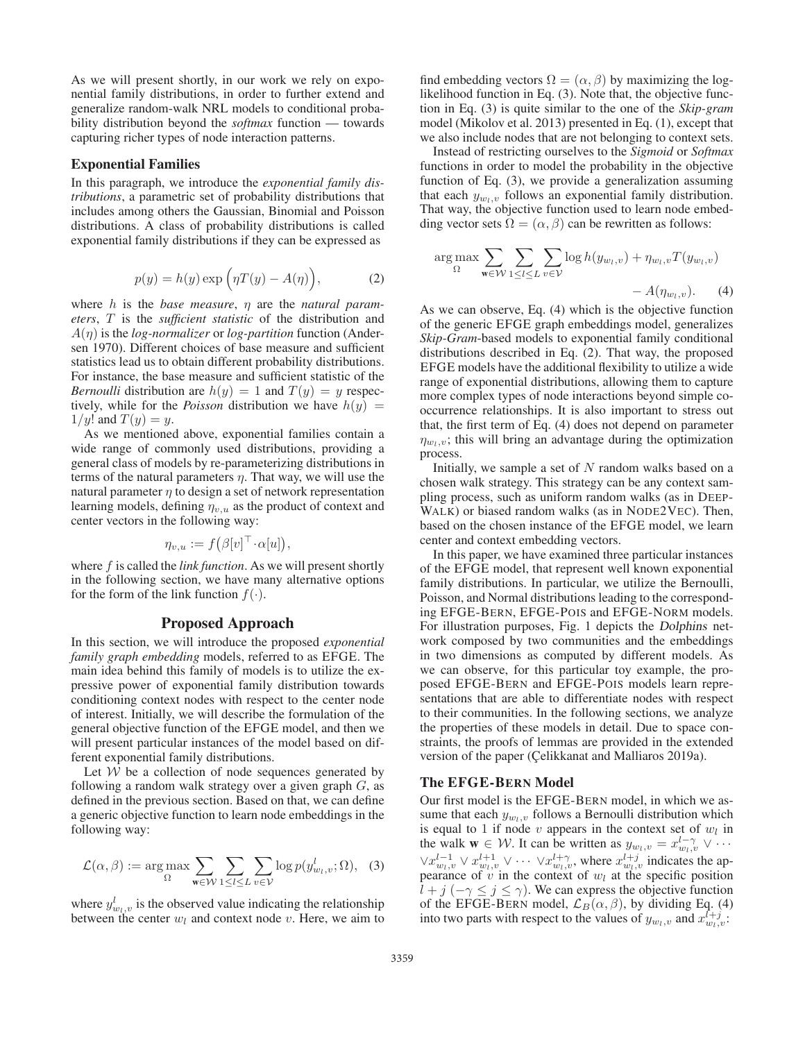As we will present shortly, in our work we rely on exponential family distributions, in order to further extend and generalize random-walk NRL models to conditional probability distribution beyond the *softmax* function — towards capturing richer types of node interaction patterns.

### Exponential Families

In this paragraph, we introduce the *exponential family distributions*, a parametric set of probability distributions that includes among others the Gaussian, Binomial and Poisson distributions. A class of probability distributions is called exponential family distributions if they can be expressed as

$$
p(y) = h(y) \exp\left(\eta T(y) - A(\eta)\right),\tag{2}
$$

where h is the *base measure*, η are the *natural parameters*, T is the *sufficient statistic* of the distribution and <sup>A</sup>(η) is the *log-normalizer* or *log-partition* function (Andersen 1970). Different choices of base measure and sufficient statistics lead us to obtain different probability distributions. For instance, the base measure and sufficient statistic of the *Bernoulli* distribution are  $h(y) = 1$  and  $T(y) = y$  respectively, while for the *Poisson* distribution we have  $h(y) =$  $1/y!$  and  $T(y) = y$ .

As we mentioned above, exponential families contain a wide range of commonly used distributions, providing a general class of models by re-parameterizing distributions in terms of the natural parameters  $\eta$ . That way, we will use the natural parameter  $\eta$  to design a set of network representation learning models, defining  $\eta_{v,u}$  as the product of context and center vectors in the following way:

$$
\eta_{v,u} := f(\beta[v]^\top \cdot \alpha[u]),
$$

where f is called the *link function*. As we will present shortly in the following section, we have many alternative options for the form of the link function  $f(.)$ .

## Proposed Approach

In this section, we will introduce the proposed *exponential family graph embedding* models, referred to as EFGE. The main idea behind this family of models is to utilize the expressive power of exponential family distribution towards conditioning context nodes with respect to the center node of interest. Initially, we will describe the formulation of the general objective function of the EFGE model, and then we will present particular instances of the model based on different exponential family distributions.

Let  $W$  be a collection of node sequences generated by following a random walk strategy over a given graph  $G$ , as defined in the previous section. Based on that, we can define a generic objective function to learn node embeddings in the following way:

$$
\mathcal{L}(\alpha, \beta) := \arg \max_{\Omega} \sum_{\mathbf{w} \in \mathcal{W}} \sum_{1 \le l \le L} \sum_{v \in \mathcal{V}} \log p(y_{w_l, v}^l; \Omega), \quad (3)
$$

where  $y_{w_l,v}^l$  is the observed value indicating the relationship between the center  $w_l$  and context node v. Here, we aim to find embedding vectors  $\Omega = (\alpha, \beta)$  by maximizing the loglikelihood function in Eq. (3). Note that, the objective function in Eq. (3) is quite similar to the one of the *Skip-gram* model (Mikolov et al. 2013) presented in Eq. (1), except that we also include nodes that are not belonging to context sets.

Instead of restricting ourselves to the *Sigmoid* or *Softmax* functions in order to model the probability in the objective function of Eq. (3), we provide a generalization assuming that each  $y_{w_l,v}$  follows an exponential family distribution. That way, the objective function used to learn node embedding vector sets  $\Omega = (\alpha, \beta)$  can be rewritten as follows:

$$
\arg \max_{\Omega} \sum_{\mathbf{w} \in \mathcal{W}} \sum_{1 \le l \le L} \sum_{v \in \mathcal{V}} \log h(y_{w_l, v}) + \eta_{w_l, v} T(y_{w_l, v}) - A(\eta_{w_l, v}).
$$
\nAs we can observe, Eq. (4) which is the objective function

of the generic EFGE graph embeddings model, generalizes *Skip-Gram*-based models to exponential family conditional distributions described in Eq. (2). That way, the proposed EFGE models have the additional flexibility to utilize a wide range of exponential distributions, allowing them to capture more complex types of node interactions beyond simple cooccurrence relationships. It is also important to stress out that, the first term of Eq. (4) does not depend on parameter  $\eta_{w_l,v}$ ; this will bring an advantage during the optimization process.

Initially, we sample a set of  $N$  random walks based on a chosen walk strategy. This strategy can be any context sampling process, such as uniform random walks (as in DEEP-WALK) or biased random walks (as in NODE2VEC). Then, based on the chosen instance of the EFGE model, we learn center and context embedding vectors.

In this paper, we have examined three particular instances of the EFGE model, that represent well known exponential family distributions. In particular, we utilize the Bernoulli, Poisson, and Normal distributions leading to the corresponding EFGE-BERN, EFGE-POIS and EFGE-NORM models. For illustration purposes, Fig. 1 depicts the *Dolphins* network composed by two communities and the embeddings in two dimensions as computed by different models. As we can observe, for this particular toy example, the proposed EFGE-BERN and EFGE-POIS models learn representations that are able to differentiate nodes with respect to their communities. In the following sections, we analyze the properties of these models in detail. Due to space constraints, the proofs of lemmas are provided in the extended version of the paper (Çelikkanat and Malliaros 2019a).

## The EFGE-BERN Model

Our first model is the EFGE-BERN model, in which we assume that each  $y_{w_l,v}$  follows a Bernoulli distribution which is equal to 1 if node  $v$  appears in the context set of  $w_l$  in the walk  $\mathbf{w} \in \mathcal{W}$ . It can be written as  $y_{w_l,v} = x_{w_l,v}^{l-\gamma} \vee \cdots$  $\forall x_{w_l,v}^{l-1} \lor x_{w_l,v}^{l+1} \lor \cdots \lor x_{w_l,v}^{l+\gamma}$ , where  $x_{w_l,v}^{l+j}$  indicates the appearance of v in the context of  $w_l$  at the specific position  $l + j$  ( $-\gamma \leq j \leq \gamma$ ). We can express the objective function of the EFGE-BERN model,  $\mathcal{L}_B(\alpha, \beta)$ , by dividing Eq. (4) into two parts with respect to the values of  $y_{w_l,v}$  and  $x_{w_l,v}^{l+j}$ .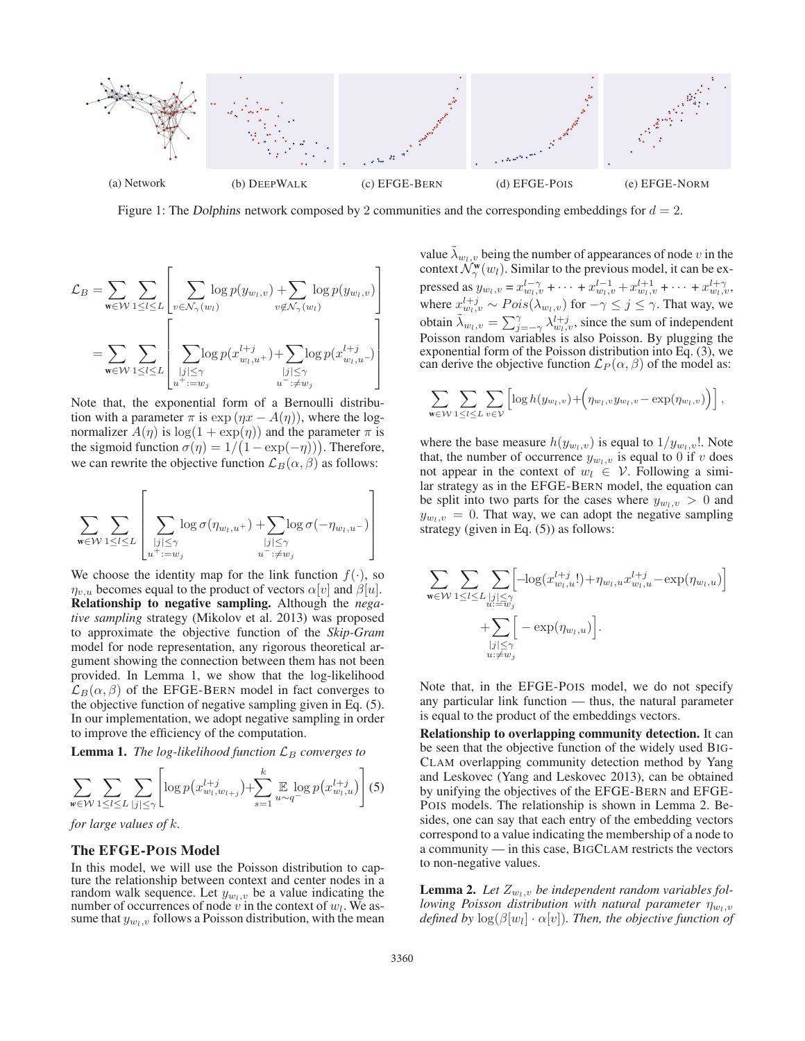

Figure 1: The *Dolphins* network composed by 2 communities and the corresponding embeddings for  $d = 2$ .

$$
\mathcal{L}_B = \sum_{\mathbf{w} \in \mathcal{W}} \sum_{1 \leq l \leq L} \left[ \sum_{v \in \mathcal{N}_{\gamma}(w_l)} \log p(y_{w_l, v}) + \sum_{v \notin \mathcal{N}_{\gamma}(w_l)} \log p(y_{w_l, v}) \right]
$$

$$
= \sum_{\mathbf{w} \in \mathcal{W}} \sum_{1 \leq l \leq L} \left[ \sum_{\substack{|j| \leq \gamma \\ u^+ := w_j}} \log p(x_{w_l, u^+}^{l+j}) + \sum_{\substack{|j| \leq \gamma \\ u^- : \neq w_j}} \log p(x_{w_l, u^-}^{l+j}) \right]
$$

Note that, the exponential form of a Bernoulli distribution with a parameter  $\pi$  is exp  $(\eta x - A(\eta))$ , where the lognormalizer  $A(\eta)$  is  $\log(1 + \exp(\eta))$  and the parameter  $\pi$  is the sigmoid function  $\sigma(\eta) = 1/(1 - \exp(-\eta))$ . Therefore,<br>we can rewrite the objective function  $\mathcal{L}_{\mathcal{D}}(\alpha, \beta)$  as follows: we can rewrite the objective function  $\mathcal{L}_B(\alpha, \beta)$  as follows:

$$
\sum_{\mathbf{w}\in\mathcal{W}}\sum_{1\leq l\leq L}\left[\sum_{\substack{|j|\leq\gamma\\u^+:=w_j}}\log\sigma(\eta_{w_l,u^+})+\!\!\!\!\!\!\sum_{\substack{|j|\leq\gamma\\u^-:\neq w_j}}\!\!\!\log\sigma(-\eta_{w_l,u^-})\right]
$$

We choose the identity map for the link function  $f(\cdot)$ , so  $\eta_{v,u}$  becomes equal to the product of vectors  $\alpha[v]$  and  $\beta[u]$ . Relationship to negative sampling. Although the *negative sampling* strategy (Mikolov et al. 2013) was proposed to approximate the objective function of the *Skip-Gram* model for node representation, any rigorous theoretical argument showing the connection between them has not been provided. In Lemma 1, we show that the log-likelihood  $\mathcal{L}_B(\alpha, \beta)$  of the EFGE-BERN model in fact converges to the objective function of negative sampling given in Eq. (5). In our implementation, we adopt negative sampling in order to improve the efficiency of the computation.

**Lemma 1.** *The log-likelihood function*  $\mathcal{L}_B$  *converges to* 

$$
\sum_{w \in \mathcal{W}} \sum_{1 \leq l \leq L} \sum_{|j| \leq \gamma} \left[ \log p(x_{w_l, w_{l+j}}^{l+j}) + \sum_{s=1}^{k} \mathbb{E} \log p(x_{w_l, u}^{l+j}) \right] (5)
$$

*for large values of* k*.*

#### The EFGE-POIS Model

In this model, we will use the Poisson distribution to capture the relationship between context and center nodes in a random walk sequence. Let  $y_{w_l,v}$  be a value indicating the number of occurrences of node v in the context of  $w_l$ . We assume that  $y_{w_l,v}$  follows a Poisson distribution, with the mean

value  $\lambda_{w_l,v}$  being the number of appearances of node v in the context  $\mathcal{N}_\gamma^{\mathbf{w}}(w_l)$ . Similar to the previous model, it can be expressed as  $y_{w_l,v} = x_{w_l,v}^{l-\gamma} + \cdots + x_{w_l,v}^{l-1} + x_{w_l,v}^{l+1} + \cdots + x_{w_l,v}^{l+\gamma}$ <br>where  $x_l^{l+1} \cdots B_{\alpha_l,v}^{l+\gamma}$  for  $x_l \leq i \leq \alpha$ . That we way where  $x_{w_l,v}^{l+j} \sim Pois(\lambda_{w_l,v})$  for  $-\gamma \leq j \leq \gamma$ . That way, we obtain  $\tilde{\lambda}_{w_l, v} = \sum_{j=-\gamma}^{\gamma} \lambda_{w_l, v}^{l+j}$ , since the sum of independent<br>Poisson random variables is also Poisson. By plugging the Poisson random variables is also Poisson. By plugging the exponential form of the Poisson distribution into Eq. (3), we can derive the objective function  $\mathcal{L}_P(\alpha, \beta)$  of the model as:

$$
\sum_{\mathbf{w}\in\mathcal{W}}\sum_{1\leq l\leq L}\sum_{v\in\mathcal{V}}\left[\log h(y_{w_l,v})+\left(\eta_{w_l,v}y_{w_l,v}-\exp(\eta_{w_l,v})\right)\right],
$$

where the base measure  $h(y_{w_l,v})$  is equal to  $1/y_{w_l,v}$ !. Note that, the number of occurrence  $y_{w_l,v}$  is equal to 0 if v does not appear in the context of  $w_l \in V$ . Following a similar strategy as in the EFGE-BERN model, the equation can be split into two parts for the cases where  $y_{w_l,v} > 0$  and  $y_{w_l,v} = 0$ . That way, we can adopt the negative sampling strategy (given in Eq. (5)) as follows:

$$
\begin{aligned} \sum\limits_{\mathbf{w}\in\mathcal{W}}\sum\limits_{1\leq l\leq L}\sum\limits_{\substack{|j|\leq\gamma\\u:=w_j\\ \hline}}&\left[-\text{log}(x_{w_l,u}^{l+j}!)+\eta_{w_l,u}x_{w_l,u}^{l+j}-\text{exp}(\eta_{w_l,u})\right]\\ &+\sum\limits_{\substack{|j|\leq\gamma\\u:\neq w_j}}\Big[-\text{exp}(\eta_{w_l,u})\Big]. \end{aligned}
$$

Note that, in the EFGE-POIS model, we do not specify any particular link function — thus, the natural parameter is equal to the product of the embeddings vectors.

Relationship to overlapping community detection. It can be seen that the objective function of the widely used BIG-CLAM overlapping community detection method by Yang and Leskovec (Yang and Leskovec 2013), can be obtained by unifying the objectives of the EFGE-BERN and EFGE-POIS models. The relationship is shown in Lemma 2. Besides, one can say that each entry of the embedding vectors correspond to a value indicating the membership of a node to a community — in this case, BIGCLAM restricts the vectors to non-negative values.

**Lemma 2.** Let  $Z_{w_l,v}$  be independent random variables fol*lowing Poisson distribution with natural parameter*  $\eta_{w_l,v}$ *defined by*  $\log(\beta[w_l] \cdot \alpha[v])$ *. Then, the objective function of*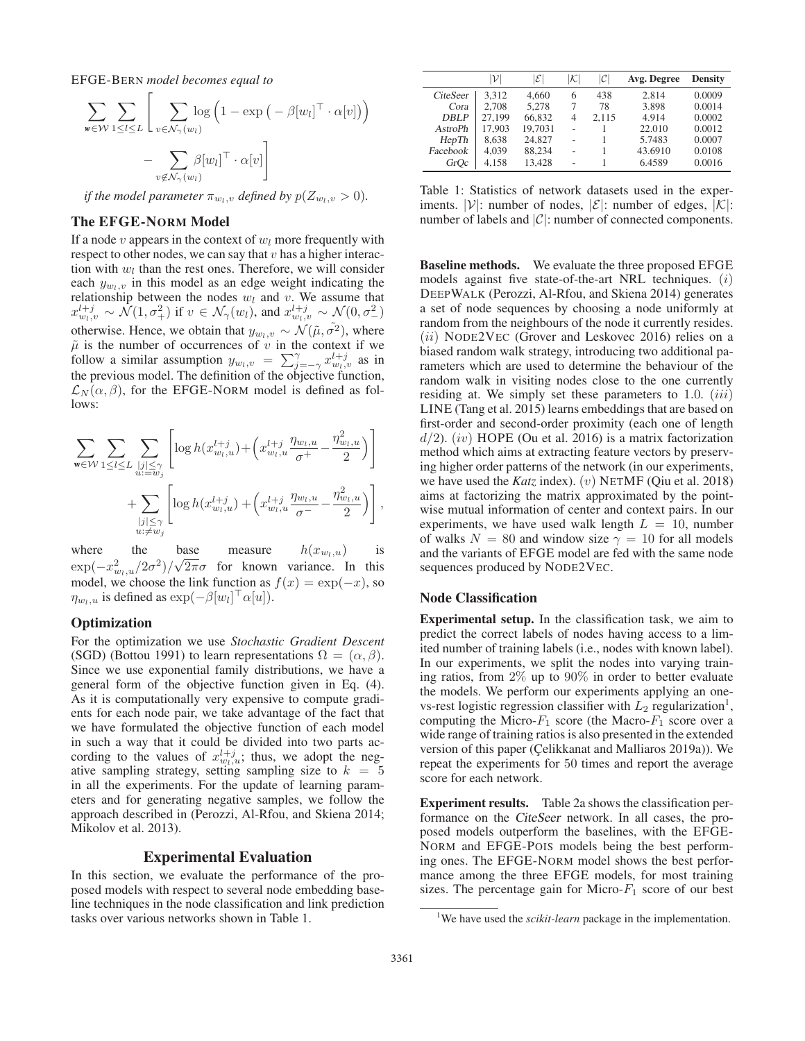EFGE-BERN *model becomes equal to*

$$
\sum_{w \in \mathcal{W}} \sum_{1 \leq l \leq L} \left[ \sum_{v \in \mathcal{N}_{\gamma}(w_l)} \log \left( 1 - \exp \left( -\beta [w_l]^{\top} \cdot \alpha[v] \right) \right) - \sum_{v \notin \mathcal{N}_{\gamma}(w_l)} \beta [w_l]^{\top} \cdot \alpha[v] \right]
$$

*if the model parameter*  $\pi_{w_l,v}$  *defined by*  $p(Z_{w_l,v} > 0)$ *.* 

## The EFGE-NORM Model

If a node  $v$  appears in the context of  $w_l$  more frequently with respect to other nodes, we can say that  $v$  has a higher interaction with  $w_l$  than the rest ones. Therefore, we will consider each  $y_{w_l,v}$  in this model as an edge weight indicating the relationship between the nodes  $w_l$  and v. We assume that  $x_{w_l,v}^{l+j} \sim \mathcal{N}(1, \sigma_+^2)$  if  $v \in \mathcal{N}_{\gamma}(w_l)$ , and  $x_{w_l,v}^{l+j} \sim \mathcal{N}(0, \sigma_-^2)$ otherwise. Hence, we obtain that  $y_{w_l,v} \sim \mathcal{N}(\tilde{\mu}, \tilde{\sigma}^2)$ , where  $\tilde{\mu}$  is the number of occurrences of *n* in the context if we  $\tilde{\mu}$  is the number of occurrences of v in the context if we follow a similar assumption  $y_{w_l, v} = \sum_{j=-\gamma}^{\gamma} x_{w_l, v}^{l+j}$  as in<br>the previous model. The definition of the objective function the previous model. The definition of the objective function,  $\mathcal{L}_N(\alpha, \beta)$ , for the EFGE-NORM model is defined as follows:

$$
\sum_{\mathbf{w}\in\mathcal{W}}\sum_{1\leq l\leq L}\sum_{\substack{|j|\leq \gamma\\u:=w_j}}\left[\log h(x_{w_l,u}^{l+j}) + \left(x_{w_l,u}^{l+j}\frac{\eta_{w_l,u}}{\sigma^+} - \frac{\eta_{w_l,u}^2}{2}\right)\right] + \sum_{\substack{|j|\leq \gamma\\u:\neq w_j}}\left[\log h(x_{w_l,u}^{l+j}) + \left(x_{w_l,u}^{l+j}\frac{\eta_{w_l,u}}{\sigma^-} - \frac{\eta_{w_l,u}^2}{2}\right)\right],
$$

where the base measure  $h(x_{w_l,u})$  is<br>  $\lim_{n \to \infty} (x_l^2 - (2\pi^2)/\sqrt{2\pi\sigma})$  for known variance In this  $\exp(-x_{w_l,u}^2/2\sigma^2)/\sqrt{2\pi}\sigma$  for known variance. In this model we choose the link function as  $f(x) = \exp(-x)$  so √model, we choose the link function as  $f(x) = \exp(-x)$ , so  $\eta_{w_l, u}$  is defined as  $\exp(-\beta[w_l]^\top \alpha[u]).$ 

#### **Optimization**

For the optimization we use *Stochastic Gradient Descent* (SGD) (Bottou 1991) to learn representations  $\Omega=(\alpha,\beta)$ . Since we use exponential family distributions, we have a general form of the objective function given in Eq. (4). As it is computationally very expensive to compute gradients for each node pair, we take advantage of the fact that we have formulated the objective function of each model in such a way that it could be divided into two parts according to the values of  $x_{w_l,u}^{l+j}$ ; thus, we adopt the negative sampling strategy, setting sampling size to  $k = 5$ in all the experiments. For the update of learning parameters and for generating negative samples, we follow the approach described in (Perozzi, Al-Rfou, and Skiena 2014; Mikolov et al. 2013).

#### Experimental Evaluation

In this section, we evaluate the performance of the proposed models with respect to several node embedding baseline techniques in the node classification and link prediction tasks over various networks shown in Table 1.

|                 | v      | $ \mathcal{E} $ | к | $ \mathcal{C} $ | Avg. Degree | <b>Density</b> |
|-----------------|--------|-----------------|---|-----------------|-------------|----------------|
| <i>CiteSeer</i> | 3.312  | 4.660           | 6 | 438             | 2.814       | 0.0009         |
| Cora            | 2.708  | 5,278           | 7 | 78              | 3.898       | 0.0014         |
| DBLP            | 27.199 | 66.832          | 4 | 2.115           | 4.914       | 0.0002         |
| <b>AstroPh</b>  | 17.903 | 19,7031         |   |                 | 22.010      | 0.0012         |
| HepTh           | 8,638  | 24.827          |   |                 | 5.7483      | 0.0007         |
| Facebook        | 4,039  | 88.234          |   |                 | 43.6910     | 0.0108         |
| GrOc            | 4.158  | 13,428          |   |                 | 6.4589      | 0.0016         |

Table 1: Statistics of network datasets used in the experiments.  $|V|$ : number of nodes,  $|\mathcal{E}|$ : number of edges,  $|\mathcal{K}|$ : number of labels and  $|C|$ : number of connected components.

Baseline methods. We evaluate the three proposed EFGE models against five state-of-the-art NRL techniques.  $(i)$ DEEPWALK (Perozzi, Al-Rfou, and Skiena 2014) generates a set of node sequences by choosing a node uniformly at random from the neighbours of the node it currently resides.  $(ii)$  NODE2VEC (Grover and Leskovec 2016) relies on a biased random walk strategy, introducing two additional parameters which are used to determine the behaviour of the random walk in visiting nodes close to the one currently residing at. We simply set these parameters to 1.0.  $(iii)$ LINE (Tang et al. 2015) learns embeddings that are based on first-order and second-order proximity (each one of length  $d/2$ ). (iv) HOPE (Ou et al. 2016) is a matrix factorization method which aims at extracting feature vectors by preserving higher order patterns of the network (in our experiments, we have used the *Katz* index). (v) NETMF (Qiu et al. 2018) aims at factorizing the matrix approximated by the pointwise mutual information of center and context pairs. In our experiments, we have used walk length  $L = 10$ , number of walks  $N = 80$  and window size  $\gamma = 10$  for all models and the variants of EFGE model are fed with the same node sequences produced by NODE2VEC.

## Node Classification

Experimental setup. In the classification task, we aim to predict the correct labels of nodes having access to a limited number of training labels (i.e., nodes with known label). In our experiments, we split the nodes into varying training ratios, from 2% up to 90% in order to better evaluate the models. We perform our experiments applying an onevs-rest logistic regression classifier with  $L_2$  regularization<sup>1</sup>, computing the Micro- $F_1$  score (the Macro- $F_1$  score over a wide range of training ratios is also presented in the extended version of this paper (Çelikkanat and Malliaros 2019a)). We repeat the experiments for 50 times and report the average score for each network.

Experiment results. Table 2a shows the classification performance on the *CiteSeer* network. In all cases, the proposed models outperform the baselines, with the EFGE-NORM and EFGE-POIS models being the best performing ones. The EFGE-NORM model shows the best performance among the three EFGE models, for most training sizes. The percentage gain for Micro- $F_1$  score of our best

<sup>&</sup>lt;sup>1</sup>We have used the *scikit-learn* package in the implementation.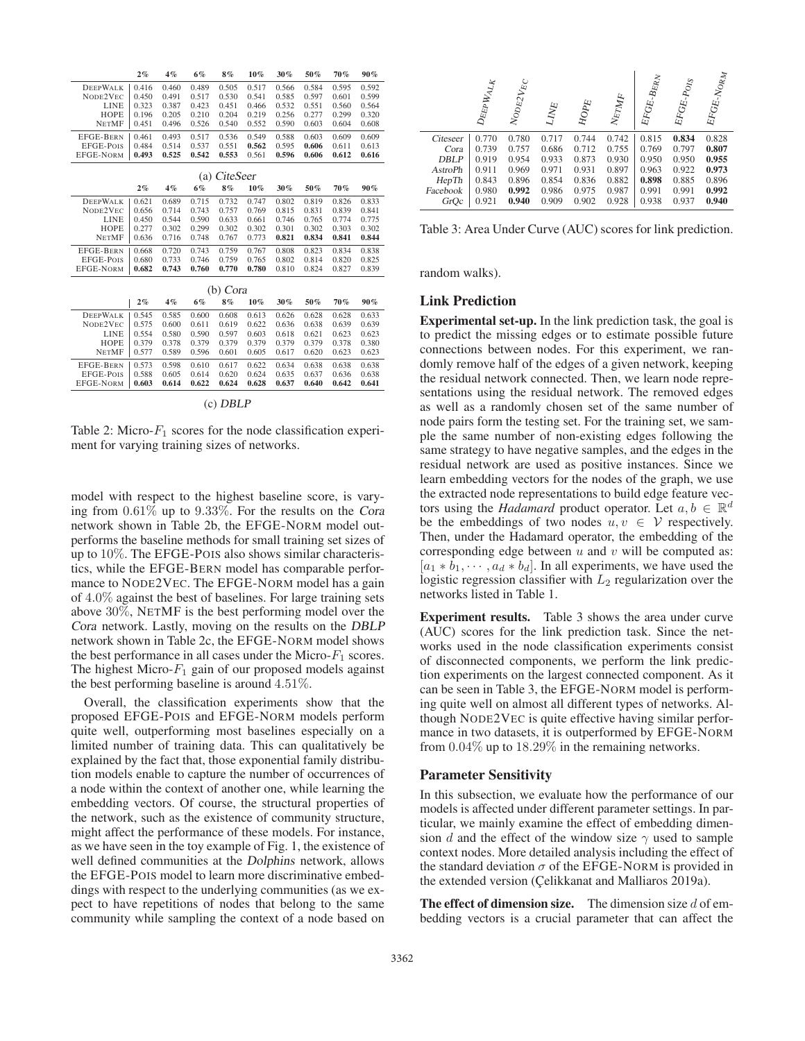|                  | 2%       | 4%    | 6%    | 8%    | $10\%$ | 30%   | 50%   | 70%   | $90\%$ |  |
|------------------|----------|-------|-------|-------|--------|-------|-------|-------|--------|--|
| <b>DEEPWALK</b>  | 0.416    | 0.460 | 0.489 | 0.505 | 0.517  | 0.566 | 0.584 | 0.595 | 0.592  |  |
| NODE2VEC         | 0.450    | 0.491 | 0.517 | 0.530 | 0.541  | 0.585 | 0.597 | 0.601 | 0.599  |  |
| LINE             | 0.323    | 0.387 | 0.423 | 0.451 | 0.466  | 0.532 | 0.551 | 0.560 | 0.564  |  |
| HOPE             | 0.196    | 0.205 | 0.210 | 0.204 | 0.219  | 0.256 | 0.277 | 0.299 | 0.320  |  |
| <b>NETMF</b>     | 0.451    | 0.496 | 0.526 | 0.540 | 0.552  | 0.590 | 0.603 | 0.604 | 0.608  |  |
| <b>EFGE-BERN</b> | 0.461    | 0.493 | 0.517 | 0.536 | 0.549  | 0.588 | 0.603 | 0.609 | 0.609  |  |
| EFGE-POIS        | 0.484    | 0.514 | 0.537 | 0.551 | 0.562  | 0.595 | 0.606 | 0.611 | 0.613  |  |
| <b>EFGE-NORM</b> | 0.493    | 0.525 | 0.542 | 0.553 | 0.561  | 0.596 | 0.606 | 0.612 | 0.616  |  |
| CiteSeer<br>(a)  |          |       |       |       |        |       |       |       |        |  |
|                  | 2%       | 4%    | 6%    | 8%    | $10\%$ | 30%   | 50%   | 70%   | $90\%$ |  |
|                  |          |       |       |       |        |       |       |       |        |  |
| <b>DEEPWALK</b>  | 0.621    | 0.689 | 0.715 | 0.732 | 0.747  | 0.802 | 0.819 | 0.826 | 0.833  |  |
| NODE2VEC         | 0.656    | 0.714 | 0.743 | 0.757 | 0.769  | 0.815 | 0.831 | 0.839 | 0.841  |  |
| <b>LINE</b>      | 0.450    | 0.544 | 0.590 | 0.633 | 0.661  | 0.746 | 0.765 | 0.774 | 0.775  |  |
| HOPE             | 0.277    | 0.302 | 0.299 | 0.302 | 0.302  | 0.301 | 0.302 | 0.303 | 0.302  |  |
| <b>NETMF</b>     | 0.636    | 0.716 | 0.748 | 0.767 | 0.773  | 0.821 | 0.834 | 0.841 | 0.844  |  |
| <b>EFGE-BERN</b> | 0.668    | 0.720 | 0.743 | 0.759 | 0.767  | 0.808 | 0.823 | 0.834 | 0.838  |  |
| EFGE-POIS        | 0.680    | 0.733 | 0.746 | 0.759 | 0.765  | 0.802 | 0.814 | 0.820 | 0.825  |  |
| <b>EFGE-NORM</b> | 0.682    | 0.743 | 0.760 | 0.770 | 0.780  | 0.810 | 0.824 | 0.827 | 0.839  |  |
| (b) Cora         |          |       |       |       |        |       |       |       |        |  |
|                  |          |       |       |       |        |       |       |       |        |  |
|                  | 2%       | 4%    | 6%    | 8%    | $10\%$ | 30%   | 50%   | 70%   | 90%    |  |
| <b>DEEPWALK</b>  | 0.545    | 0.585 | 0.600 | 0.608 | 0.613  | 0.626 | 0.628 | 0.628 | 0.633  |  |
| NODE2VEC         | 0.575    | 0.600 | 0.611 | 0.619 | 0.622  | 0.636 | 0.638 | 0.639 | 0.639  |  |
| <b>LINE</b>      | 0.554    | 0.580 | 0.590 | 0.597 | 0.603  | 0.618 | 0.621 | 0.623 | 0.623  |  |
| HOPE             | 0.379    | 0.378 | 0.379 | 0.379 | 0.379  | 0.379 | 0.379 | 0.378 | 0.380  |  |
| <b>NETMF</b>     | 0.577    | 0.589 | 0.596 | 0.601 | 0.605  | 0.617 | 0.620 | 0.623 | 0.623  |  |
| <b>EFGE-BERN</b> | 0.573    | 0.598 | 0.610 | 0.617 | 0.622  | 0.634 | 0.638 | 0.638 | 0.638  |  |
| EFGE-POIS        | 0.588    | 0.605 | 0.614 | 0.620 | 0.624  | 0.635 | 0.637 | 0.636 | 0.638  |  |
| <b>EFGE-NORM</b> | 0.603    | 0.614 | 0.622 | 0.624 | 0.628  | 0.637 | 0.640 | 0.642 | 0.641  |  |
|                  |          |       |       |       |        |       |       |       |        |  |
|                  | (c) DBLP |       |       |       |        |       |       |       |        |  |

Table 2: Micro- $F_1$  scores for the node classification experiment for varying training sizes of networks.

model with respect to the highest baseline score, is varying from 0.61% up to 9.33%. For the results on the *Cora* network shown in Table 2b, the EFGE-NORM model outperforms the baseline methods for small training set sizes of up to 10%. The EFGE-POIS also shows similar characteristics, while the EFGE-BERN model has comparable performance to NODE2VEC. The EFGE-NORM model has a gain of 4.0% against the best of baselines. For large training sets above 30%, NETMF is the best performing model over the *Cora* network. Lastly, moving on the results on the *DBLP* network shown in Table 2c, the EFGE-NORM model shows the best performance in all cases under the Micro- $F_1$  scores. The highest Micro- $F_1$  gain of our proposed models against the best performing baseline is around 4.51%.

Overall, the classification experiments show that the proposed EFGE-POIS and EFGE-NORM models perform quite well, outperforming most baselines especially on a limited number of training data. This can qualitatively be explained by the fact that, those exponential family distribution models enable to capture the number of occurrences of a node within the context of another one, while learning the embedding vectors. Of course, the structural properties of the network, such as the existence of community structure, might affect the performance of these models. For instance, as we have seen in the toy example of Fig. 1, the existence of well defined communities at the *Dolphins* network, allows the EFGE-POIS model to learn more discriminative embeddings with respect to the underlying communities (as we expect to have repetitions of nodes that belong to the same community while sampling the context of a node based on

|                | $D_{\rm{EPP}}$ $W_{\rm{AL}_K}$ | $N_{\rm{ODE2}}_{V\rm{E}}$ | $L_{I\!N\!P\!E}$ | $\mathcal{H} \mathcal{O} \mathcal{P} \mathcal{E}$ | $N\varepsilon_{TMF}$ | ${E}F G E_{{{}^\ast}\!} B E R_N$ | ${\cal E}{\cal F}{\cal G}{\cal E}\textrm{-}P_{{\cal O}{\cal I}{\cal S}}$ | ${^{EFG}\!E\text{-}N o \!}_{R\!M}$ |
|----------------|--------------------------------|---------------------------|------------------|---------------------------------------------------|----------------------|----------------------------------|--------------------------------------------------------------------------|------------------------------------|
| Citeseer       | 0.770                          | 0.780                     | 0.717            | 0.744                                             | 0.742                | 0.815                            | 0.834                                                                    | 0.828                              |
| Cora           | 0.739                          | 0.757                     | 0.686            | 0.712                                             | 0.755                | 0.769                            | 0.797                                                                    | 0.807                              |
| <b>DBLP</b>    | 0.919                          | 0.954                     | 0.933            | 0.873                                             | 0.930                | 0.950                            | 0.950                                                                    | 0.955                              |
| <b>AstroPh</b> | 0.911                          | 0.969                     | 0.971            | 0.931                                             | 0.897                | 0.963                            | 0.922                                                                    | 0.973                              |
| HepTh          | 0.843                          | 0.896                     | 0.854            | 0.836                                             | 0.882                | 0.898                            | 0.885                                                                    | 0.896                              |
| Facebook       | 0.980                          | 0.992                     | 0.986            | 0.975                                             | 0.987                | 0.991                            | 0.991                                                                    | 0.992                              |
| GrQc           | 0.921                          | 0.940                     | 0.909            | 0.902                                             | 0.928                | 0.938                            | 0.937                                                                    | 0.940                              |

Table 3: Area Under Curve (AUC) scores for link prediction.

random walks).

## Link Prediction

Experimental set-up. In the link prediction task, the goal is to predict the missing edges or to estimate possible future connections between nodes. For this experiment, we randomly remove half of the edges of a given network, keeping the residual network connected. Then, we learn node representations using the residual network. The removed edges as well as a randomly chosen set of the same number of node pairs form the testing set. For the training set, we sample the same number of non-existing edges following the same strategy to have negative samples, and the edges in the residual network are used as positive instances. Since we learn embedding vectors for the nodes of the graph, we use the extracted node representations to build edge feature vectors using the *Hadamard* product operator. Let  $a, b \in \mathbb{R}^d$ be the embeddings of two nodes  $u, v \in V$  respectively. Then, under the Hadamard operator, the embedding of the corresponding edge between  $u$  and  $v$  will be computed as:  $[a_1 * b_1, \cdots, a_d * b_d]$ . In all experiments, we have used the logistic regression classifier with  $L_2$  regularization over the networks listed in Table 1.

Experiment results. Table 3 shows the area under curve (AUC) scores for the link prediction task. Since the networks used in the node classification experiments consist of disconnected components, we perform the link prediction experiments on the largest connected component. As it can be seen in Table 3, the EFGE-NORM model is performing quite well on almost all different types of networks. Although NODE2VEC is quite effective having similar performance in two datasets, it is outperformed by EFGE-NORM from 0.04% up to 18.29% in the remaining networks.

### Parameter Sensitivity

In this subsection, we evaluate how the performance of our models is affected under different parameter settings. In particular, we mainly examine the effect of embedding dimension d and the effect of the window size  $\gamma$  used to sample context nodes. More detailed analysis including the effect of the standard deviation  $\sigma$  of the EFGE-NORM is provided in the extended version (Çelikkanat and Malliaros 2019a).

The effect of dimension size. The dimension size  $d$  of embedding vectors is a crucial parameter that can affect the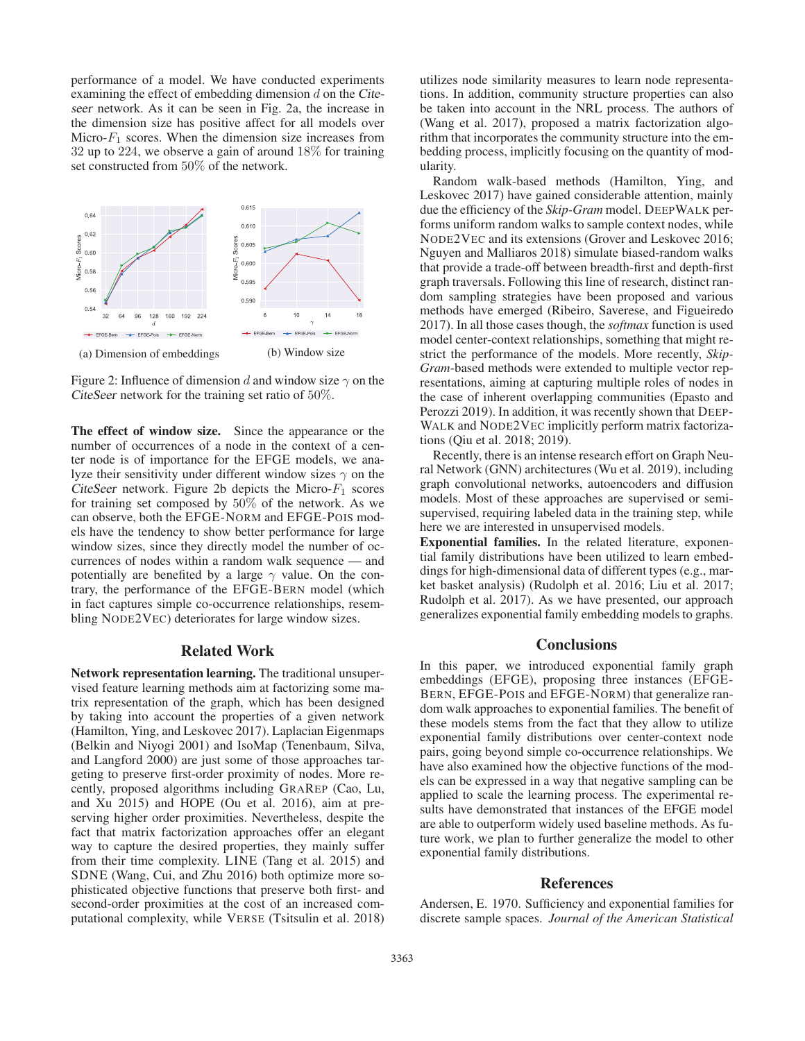performance of a model. We have conducted experiments examining the effect of embedding dimension d on the *Citeseer* network. As it can be seen in Fig. 2a, the increase in the dimension size has positive affect for all models over Micro- $F_1$  scores. When the dimension size increases from 32 up to 224, we observe a gain of around 18% for training set constructed from 50% of the network.



Figure 2: Influence of dimension d and window size  $\gamma$  on the *CiteSeer* network for the training set ratio of 50%.

The effect of window size. Since the appearance or the number of occurrences of a node in the context of a center node is of importance for the EFGE models, we analyze their sensitivity under different window sizes  $\gamma$  on the *CiteSeer* network. Figure 2b depicts the Micro- $F_1$  scores for training set composed by 50% of the network. As we can observe, both the EFGE-NORM and EFGE-POIS models have the tendency to show better performance for large window sizes, since they directly model the number of occurrences of nodes within a random walk sequence — and potentially are benefited by a large  $\gamma$  value. On the contrary, the performance of the EFGE-BERN model (which in fact captures simple co-occurrence relationships, resembling NODE2VEC) deteriorates for large window sizes.

# Related Work

Network representation learning. The traditional unsupervised feature learning methods aim at factorizing some matrix representation of the graph, which has been designed by taking into account the properties of a given network (Hamilton, Ying, and Leskovec 2017). Laplacian Eigenmaps (Belkin and Niyogi 2001) and IsoMap (Tenenbaum, Silva, and Langford 2000) are just some of those approaches targeting to preserve first-order proximity of nodes. More recently, proposed algorithms including GRAREP (Cao, Lu, and Xu 2015) and HOPE (Ou et al. 2016), aim at preserving higher order proximities. Nevertheless, despite the fact that matrix factorization approaches offer an elegant way to capture the desired properties, they mainly suffer from their time complexity. LINE (Tang et al. 2015) and SDNE (Wang, Cui, and Zhu 2016) both optimize more sophisticated objective functions that preserve both first- and second-order proximities at the cost of an increased computational complexity, while VERSE (Tsitsulin et al. 2018)

utilizes node similarity measures to learn node representations. In addition, community structure properties can also be taken into account in the NRL process. The authors of (Wang et al. 2017), proposed a matrix factorization algorithm that incorporates the community structure into the embedding process, implicitly focusing on the quantity of modularity.

Random walk-based methods (Hamilton, Ying, and Leskovec 2017) have gained considerable attention, mainly due the efficiency of the *Skip-Gram* model. DEEPWALK performs uniform random walks to sample context nodes, while NODE2VEC and its extensions (Grover and Leskovec 2016; Nguyen and Malliaros 2018) simulate biased-random walks that provide a trade-off between breadth-first and depth-first graph traversals. Following this line of research, distinct random sampling strategies have been proposed and various methods have emerged (Ribeiro, Saverese, and Figueiredo 2017). In all those cases though, the *softmax* function is used model center-context relationships, something that might restrict the performance of the models. More recently, *Skip-Gram*-based methods were extended to multiple vector representations, aiming at capturing multiple roles of nodes in the case of inherent overlapping communities (Epasto and Perozzi 2019). In addition, it was recently shown that DEEP-WALK and NODE2VEC implicitly perform matrix factorizations (Qiu et al. 2018; 2019).

Recently, there is an intense research effort on Graph Neural Network (GNN) architectures (Wu et al. 2019), including graph convolutional networks, autoencoders and diffusion models. Most of these approaches are supervised or semisupervised, requiring labeled data in the training step, while here we are interested in unsupervised models.

Exponential families. In the related literature, exponential family distributions have been utilized to learn embeddings for high-dimensional data of different types (e.g., market basket analysis) (Rudolph et al. 2016; Liu et al. 2017; Rudolph et al. 2017). As we have presented, our approach generalizes exponential family embedding models to graphs.

#### **Conclusions**

In this paper, we introduced exponential family graph embeddings (EFGE), proposing three instances (EFGE-BERN, EFGE-POIS and EFGE-NORM) that generalize random walk approaches to exponential families. The benefit of these models stems from the fact that they allow to utilize exponential family distributions over center-context node pairs, going beyond simple co-occurrence relationships. We have also examined how the objective functions of the models can be expressed in a way that negative sampling can be applied to scale the learning process. The experimental results have demonstrated that instances of the EFGE model are able to outperform widely used baseline methods. As future work, we plan to further generalize the model to other exponential family distributions.

#### References

Andersen, E. 1970. Sufficiency and exponential families for discrete sample spaces. *Journal of the American Statistical*